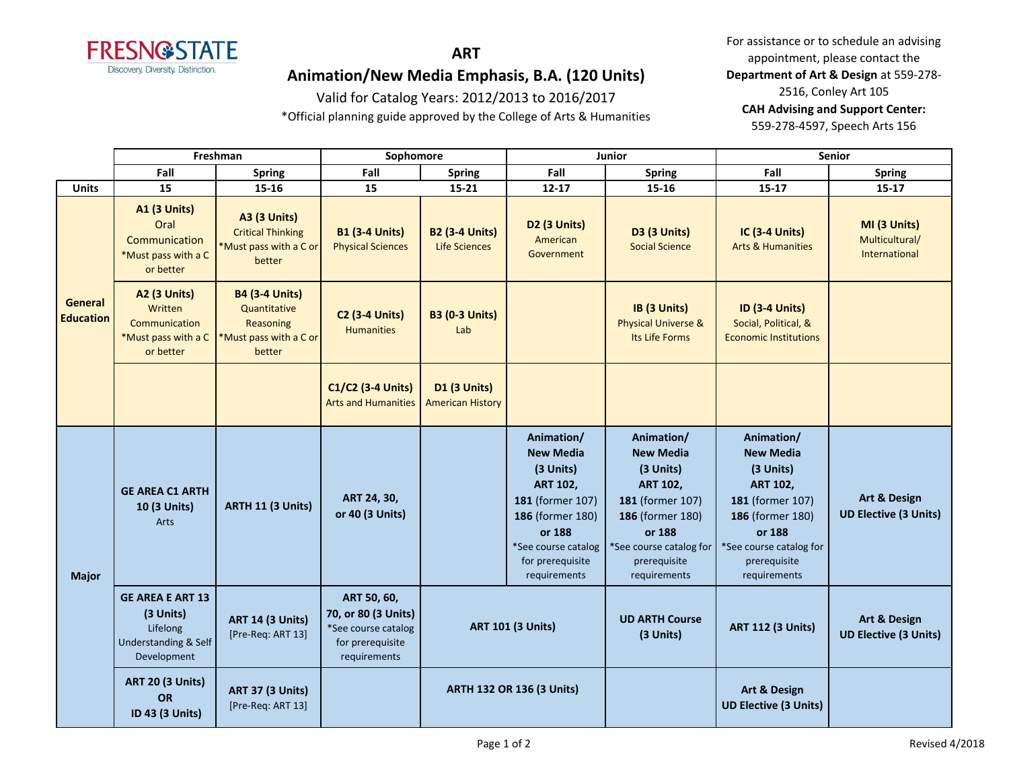

# **ART Animation/New Media Emphasis, B.A. (120 Units)**

## Valid for Catalog Years: 2012/2013 to 2016/2017

\*Official planning guide approved by the College of Arts & Humanities

For assistance or to schedule an advising appointment, please contact the **Department of Art & Design** at 559-278- 2516, Conley Art 105 **CAH Advising and Support Center:**  559-278-4597, Speech Arts 156

|                             | Freshman                                                                                |                                                                                        | Sophomore                                                                                     |                                                | Junior                                                                                                                                                                      |                                                                                                                                                                             | Senior                                                                                                                                                                      |                                                 |
|-----------------------------|-----------------------------------------------------------------------------------------|----------------------------------------------------------------------------------------|-----------------------------------------------------------------------------------------------|------------------------------------------------|-----------------------------------------------------------------------------------------------------------------------------------------------------------------------------|-----------------------------------------------------------------------------------------------------------------------------------------------------------------------------|-----------------------------------------------------------------------------------------------------------------------------------------------------------------------------|-------------------------------------------------|
|                             | Fall                                                                                    | <b>Spring</b>                                                                          | Fall                                                                                          | <b>Spring</b>                                  | Fall                                                                                                                                                                        | <b>Spring</b>                                                                                                                                                               | Fall                                                                                                                                                                        | <b>Spring</b>                                   |
| <b>Units</b>                | 15                                                                                      | 15-16                                                                                  | 15                                                                                            | $15 - 21$                                      | $12 - 17$                                                                                                                                                                   | 15-16                                                                                                                                                                       | $15 - 17$                                                                                                                                                                   | $15 - 17$                                       |
| General<br><b>Education</b> | <b>A1 (3 Units)</b><br>Oral<br>Communication<br>*Must pass with a C<br>or better        | <b>A3 (3 Units)</b><br><b>Critical Thinking</b><br>*Must pass with a C or<br>better    | <b>B1 (3-4 Units)</b><br><b>Physical Sciences</b>                                             | <b>B2 (3-4 Units)</b><br><b>Life Sciences</b>  | D2 (3 Units)<br>American<br>Government                                                                                                                                      | <b>D3 (3 Units)</b><br><b>Social Science</b>                                                                                                                                | <b>IC (3-4 Units)</b><br><b>Arts &amp; Humanities</b>                                                                                                                       | MI (3 Units)<br>Multicultural/<br>International |
|                             | <b>A2 (3 Units)</b><br>Written<br>Communication<br>*Must pass with a C<br>or better     | <b>B4 (3-4 Units)</b><br>Quantitative<br>Reasoning<br>*Must pass with a C or<br>better | <b>C2 (3-4 Units)</b><br><b>Humanities</b>                                                    | <b>B3 (0-3 Units)</b><br>Lab                   |                                                                                                                                                                             | IB (3 Units)<br><b>Physical Universe &amp;</b><br>Its Life Forms                                                                                                            | <b>ID (3-4 Units)</b><br>Social, Political, &<br><b>Economic Institutions</b>                                                                                               |                                                 |
|                             |                                                                                         |                                                                                        | C1/C2 (3-4 Units)<br><b>Arts and Humanities</b>                                               | <b>D1 (3 Units)</b><br><b>American History</b> |                                                                                                                                                                             |                                                                                                                                                                             |                                                                                                                                                                             |                                                 |
| <b>Major</b>                | <b>GE AREA C1 ARTH</b><br>10 (3 Units)<br>Arts                                          | ARTH 11 (3 Units)                                                                      | ART 24, 30,<br>or 40 (3 Units)                                                                |                                                | Animation/<br><b>New Media</b><br>(3 Units)<br><b>ART 102,</b><br>181 (former 107)<br>186 (former 180)<br>or 188<br>*See course catalog<br>for prerequisite<br>requirements | Animation/<br><b>New Media</b><br>(3 Units)<br><b>ART 102,</b><br>181 (former 107)<br>186 (former 180)<br>or 188<br>*See course catalog for<br>prerequisite<br>requirements | Animation/<br><b>New Media</b><br>(3 Units)<br><b>ART 102,</b><br>181 (former 107)<br>186 (former 180)<br>or 188<br>*See course catalog for<br>prerequisite<br>requirements | Art & Design<br><b>UD Elective (3 Units)</b>    |
|                             | <b>GE AREA E ART 13</b><br>(3 Units)<br>Lifelong<br>Understanding & Self<br>Development | <b>ART 14 (3 Units)</b><br>[Pre-Req: ART 13]                                           | ART 50, 60,<br>70, or 80 (3 Units)<br>*See course catalog<br>for prerequisite<br>requirements | <b>ART 101 (3 Units)</b>                       |                                                                                                                                                                             | <b>UD ARTH Course</b><br>(3 Units)                                                                                                                                          | <b>ART 112 (3 Units)</b>                                                                                                                                                    | Art & Design<br><b>UD Elective (3 Units)</b>    |
|                             | <b>ART 20 (3 Units)</b><br><b>OR</b><br>ID 43 (3 Units)                                 | <b>ART 37 (3 Units)</b><br>[Pre-Req: ART 13]                                           |                                                                                               | <b>ARTH 132 OR 136 (3 Units)</b>               |                                                                                                                                                                             |                                                                                                                                                                             | Art & Design<br><b>UD Elective (3 Units)</b>                                                                                                                                |                                                 |